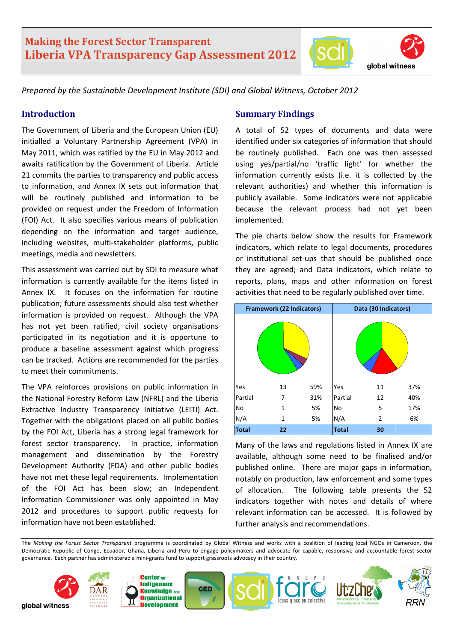# **Making the Forest Sector Transparent Liberia VPA Transparency Gap Assessment 2012**





*Prepared by the Sustainable Development Institute (SDI) and Global Witness, October 2012* 

### **Introduction**

The Government of Liberia and the European Union (EU) initialled a Voluntary Partnership Agreement (VPA) in May 2011, which was ratified by the EU in May 2012 and awaits ratification by the Government of Liberia. Article 21 commits the parties to transparency and public access to information, and Annex IX sets out information that will be routinely published and information to be provided on request under the Freedom of Information (FOI) Act. It also specifies various means of publication depending on the information and target audience, including websites, multi‐stakeholder platforms, public meetings, media and newsletters.

This assessment was carried out by SDI to measure what information is currently available for the items listed in Annex IX. It focuses on the information for routine publication; future assessments should also test whether information is provided on request. Although the VPA has not yet been ratified, civil society organisations participated in its negotiation and it is opportune to produce a baseline assessment against which progress can be tracked. Actions are recommended for the parties to meet their commitments.

The VPA reinforces provisions on public information in the National Forestry Reform Law (NFRL) and the Liberia Extractive Industry Transparency Initiative (LEITI) Act. Together with the obligations placed on all public bodies by the FOI Act, Liberia has a strong legal framework for forest sector transparency. In practice, information management and dissemination by the Forestry Development Authority (FDA) and other public bodies have not met these legal requirements. Implementation of the FOI Act has been slow; an Independent Information Commissioner was only appointed in May 2012 and procedures to support public requests for information have not been established.

### **Summary Findings**

A total of 52 types of documents and data were identified under six categories of information that should be routinely published. Each one was then assessed using yes/partial/no 'traffic light' for whether the information currently exists (i.e. it is collected by the relevant authorities) and whether this information is publicly available. Some indicators were not applicable because the relevant process had not yet been implemented.

The pie charts below show the results for Framework indicators, which relate to legal documents, procedures or institutional set‐ups that should be published once they are agreed; and Data indicators, which relate to reports, plans, maps and other information on forest activities that need to be regularly published over time.



Many of the laws and regulations listed in Annex IX are available, although some need to be finalised and/or published online. There are major gaps in information, notably on production, law enforcement and some types of allocation. The following table presents the 52 indicators together with notes and details of where relevant information can be accessed. It is followed by further analysis and recommendations.

The *Making the Forest Sector Transparent* programme is coordinated by Global Witness and works with a coalition of leading local NGOs in Cameroon, the Democratic Republic of Congo, Ecuador, Ghana, Liberia and Peru to engage policymakers and advocate for capable, responsive and accountable forest sector governance. Each partner has administered a mini‐grants fund to support grassroots advocacy in their country.

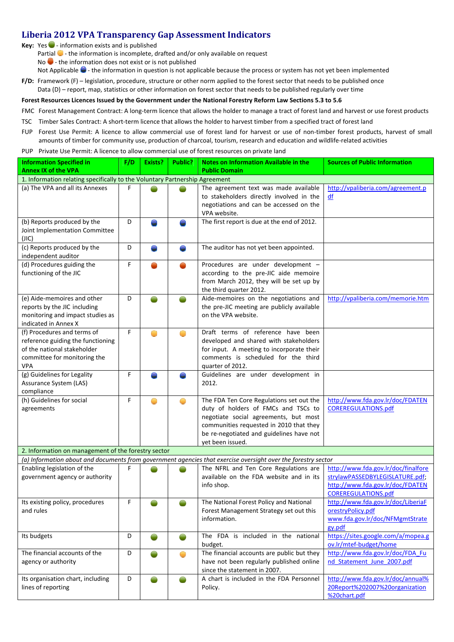### **Liberia 2012 VPA Transparency Gap Assessment Indicators**

**Key:** Yes ● - information exists and is published

Partial  $\Box$  - the information is incomplete, drafted and/or only available on request

No  $\bullet$  - the information does not exist or is not published

Not Applicable  $\bullet$  - the information in question is not applicable because the process or system has not yet been implemented

**F/D:** Framework (F) – legislation, procedure, structure or other norm applied to the forest sector that needs to be published once Data (D) – report, map, statistics or other information on forest sector that needs to be published regularly over time

#### Forest Resources Licences Issued by the Government under the National Forestry Reform Law Sections 5.3 to 5.6

- FMC Forest Management Contract: A long-term licence that allows the holder to manage a tract of forest land and harvest or use forest products
- TSC Timber Sales Contract: A short‐term licence that allows the holder to harvest timber from a specified tract of forest land
- FUP Forest Use Permit: A licence to allow commercial use of forest land for harvest or use of non-timber forest products, harvest of small amounts of timber for community use, production of charcoal, tourism, research and education and wildlife‐related activities
- PUP Private Use Permit: A licence to allow commercial use of forest resources on private land

| <b>Information Specified in</b>                                                                                                        | F/D | Exists? | <b>Public?</b> | Notes on Information Available in the                                                                                                                                                                                               | <b>Sources of Public Information</b>                                                                                                     |  |  |  |
|----------------------------------------------------------------------------------------------------------------------------------------|-----|---------|----------------|-------------------------------------------------------------------------------------------------------------------------------------------------------------------------------------------------------------------------------------|------------------------------------------------------------------------------------------------------------------------------------------|--|--|--|
| <b>Annex IX of the VPA</b>                                                                                                             |     |         |                | <b>Public Domain</b>                                                                                                                                                                                                                |                                                                                                                                          |  |  |  |
| 1. Information relating specifically to the Voluntary Partnership Agreement                                                            |     |         |                |                                                                                                                                                                                                                                     |                                                                                                                                          |  |  |  |
| (a) The VPA and all its Annexes                                                                                                        | F   |         |                | The agreement text was made available<br>to stakeholders directly involved in the<br>negotiations and can be accessed on the<br>VPA website.                                                                                        | http://vpaliberia.com/agreement.p<br>df                                                                                                  |  |  |  |
| (b) Reports produced by the<br>Joint Implementation Committee<br>(JIC)                                                                 | D   |         |                | The first report is due at the end of 2012.                                                                                                                                                                                         |                                                                                                                                          |  |  |  |
| (c) Reports produced by the<br>independent auditor                                                                                     | D   |         |                | The auditor has not yet been appointed.                                                                                                                                                                                             |                                                                                                                                          |  |  |  |
| (d) Procedures guiding the<br>functioning of the JIC                                                                                   | F   |         |                | Procedures are under development -<br>according to the pre-JIC aide memoire<br>from March 2012, they will be set up by<br>the third quarter 2012.                                                                                   |                                                                                                                                          |  |  |  |
| (e) Aide-memoires and other<br>reports by the JIC including<br>monitoring and impact studies as<br>indicated in Annex X                | D   |         |                | Aide-memoires on the negotiations and<br>the pre-JIC meeting are publicly available<br>on the VPA website.                                                                                                                          | http://vpaliberia.com/memorie.htm                                                                                                        |  |  |  |
| (f) Procedures and terms of<br>reference guiding the functioning<br>of the national stakeholder<br>committee for monitoring the<br>VPA | F   | ◯       | $\subset$      | Draft terms of reference have been<br>developed and shared with stakeholders<br>for input. A meeting to incorporate their<br>comments is scheduled for the third<br>quarter of 2012.                                                |                                                                                                                                          |  |  |  |
| (g) Guidelines for Legality<br>Assurance System (LAS)<br>compliance                                                                    | F   |         |                | Guidelines are under development in<br>2012.                                                                                                                                                                                        |                                                                                                                                          |  |  |  |
| (h) Guidelines for social<br>agreements                                                                                                | F   |         |                | The FDA Ten Core Regulations set out the<br>duty of holders of FMCs and TSCs to<br>negotiate social agreements, but most<br>communities requested in 2010 that they<br>be re-negotiated and guidelines have not<br>yet been issued. | http://www.fda.gov.lr/doc/FDATEN<br><b>COREREGULATIONS.pdf</b>                                                                           |  |  |  |
| 2. Information on management of the forestry sector                                                                                    |     |         |                |                                                                                                                                                                                                                                     |                                                                                                                                          |  |  |  |
| (a) Information about and documents from government agencies that exercise oversight over the forestry sector                          |     |         |                |                                                                                                                                                                                                                                     |                                                                                                                                          |  |  |  |
| Enabling legislation of the<br>government agency or authority                                                                          | F   |         |                | The NFRL and Ten Core Regulations are<br>available on the FDA website and in its<br>info shop.                                                                                                                                      | http://www.fda.gov.lr/doc/finalfore<br>strylawPASSEDBYLEGISLATURE.pdf;<br>http://www.fda.gov.lr/doc/FDATEN<br><b>COREREGULATIONS.pdf</b> |  |  |  |
| Its existing policy, procedures<br>and rules                                                                                           | F   |         |                | The National Forest Policy and National<br>Forest Management Strategy set out this<br>information.                                                                                                                                  | http://www.fda.gov.lr/doc/LiberiaF<br>orestryPolicy.pdf<br>www.fda.gov.lr/doc/NFMgmtStrate<br>gy.pdf                                     |  |  |  |
| Its budgets                                                                                                                            | D   |         |                | The FDA is included in the national<br>budget.                                                                                                                                                                                      | https://sites.google.com/a/mopea.g<br>ov.lr/mtef-budget/home                                                                             |  |  |  |
| The financial accounts of the<br>agency or authority                                                                                   | D   |         |                | The financial accounts are public but they<br>have not been regularly published online<br>since the statement in 2007.                                                                                                              | http://www.fda.gov.lr/doc/FDA Fu<br>nd Statement June 2007.pdf                                                                           |  |  |  |
| Its organisation chart, including<br>lines of reporting                                                                                | D   |         |                | A chart is included in the FDA Personnel<br>Policy.                                                                                                                                                                                 | http://www.fda.gov.lr/doc/annual%<br>20Report%202007%20organization<br>%20chart.pdf                                                      |  |  |  |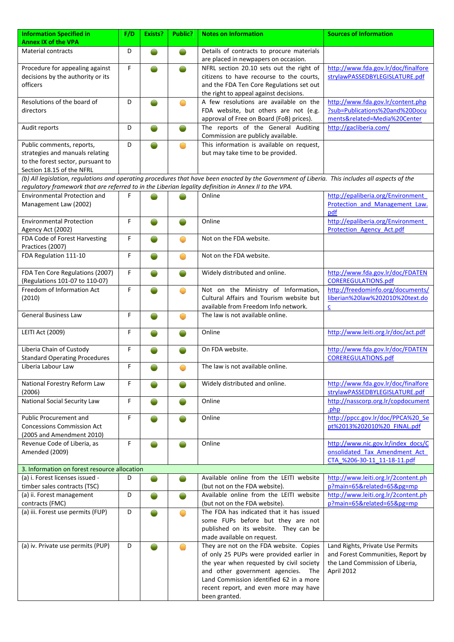| <b>Information Specified in</b>                                                                       | F/D | Exists? | Public?    | <b>Notes on Information</b>                                                                                                                     | <b>Sources of Information</b>       |
|-------------------------------------------------------------------------------------------------------|-----|---------|------------|-------------------------------------------------------------------------------------------------------------------------------------------------|-------------------------------------|
| <b>Annex IX of the VPA</b>                                                                            |     |         |            |                                                                                                                                                 |                                     |
| <b>Material contracts</b>                                                                             | D   |         |            | Details of contracts to procure materials                                                                                                       |                                     |
|                                                                                                       |     |         |            | are placed in newpapers on occasion.                                                                                                            |                                     |
| Procedure for appealing against                                                                       | F   |         |            | NFRL section 20.10 sets out the right of                                                                                                        | http://www.fda.gov.lr/doc/finalfore |
| decisions by the authority or its                                                                     |     |         |            | citizens to have recourse to the courts,                                                                                                        | strylawPASSEDBYLEGISLATURE.pdf      |
| officers                                                                                              |     |         |            | and the FDA Ten Core Regulations set out                                                                                                        |                                     |
|                                                                                                       |     |         |            | the right to appeal against decisions.                                                                                                          |                                     |
| Resolutions of the board of                                                                           | D   |         |            | A few resolutions are available on the                                                                                                          | http://www.fda.gov.lr/content.php   |
| directors                                                                                             |     |         |            | FDA website, but others are not (e.g.                                                                                                           | ?sub=Publications%20and%20Docu      |
|                                                                                                       |     |         |            | approval of Free on Board (FoB) prices).                                                                                                        | ments&related=Media%20Center        |
| Audit reports                                                                                         | D   |         |            | The reports of the General Auditing                                                                                                             | http://gacliberia.com/              |
|                                                                                                       |     |         |            | Commission are publicly available.                                                                                                              |                                     |
| Public comments, reports,                                                                             | D   |         | Ο          | This information is available on request,                                                                                                       |                                     |
| strategies and manuals relating                                                                       |     |         |            | but may take time to be provided.                                                                                                               |                                     |
| to the forest sector, pursuant to<br>Section 18.15 of the NFRL                                        |     |         |            |                                                                                                                                                 |                                     |
|                                                                                                       |     |         |            | (b) All legislation, regulations and operating procedures that have been enacted by the Government of Liberia. This includes all aspects of the |                                     |
| regulatory framework that are referred to in the Liberian legality definition in Annex II to the VPA. |     |         |            |                                                                                                                                                 |                                     |
| <b>Environmental Protection and</b>                                                                   | F   |         |            | Online                                                                                                                                          | http://epaliberia.org/Environment   |
| Management Law (2002)                                                                                 |     |         |            |                                                                                                                                                 | Protection and Management Law.      |
|                                                                                                       |     |         |            |                                                                                                                                                 | pdf                                 |
| <b>Environmental Protection</b>                                                                       | F   |         |            | Online                                                                                                                                          | http://epaliberia.org/Environment   |
| Agency Act (2002)                                                                                     |     |         |            |                                                                                                                                                 | <b>Protection Agency Act.pdf</b>    |
| FDA Code of Forest Harvesting                                                                         | F   |         | ◠          | Not on the FDA website.                                                                                                                         |                                     |
| Practices (2007)                                                                                      |     |         |            |                                                                                                                                                 |                                     |
| FDA Regulation 111-10                                                                                 | F   |         | Ô          | Not on the FDA website.                                                                                                                         |                                     |
|                                                                                                       |     |         |            |                                                                                                                                                 |                                     |
| FDA Ten Core Regulations (2007)                                                                       | F   |         |            | Widely distributed and online.                                                                                                                  | http://www.fda.gov.lr/doc/FDATEN    |
| (Regulations 101-07 to 110-07)                                                                        |     |         |            |                                                                                                                                                 | <b>COREREGULATIONS.pdf</b>          |
| Freedom of Information Act                                                                            | F   |         | ●          | Not on the Ministry of Information,                                                                                                             | http://freedominfo.org/documents/   |
| (2010)                                                                                                |     |         |            | Cultural Affairs and Tourism website but                                                                                                        | liberian%20law%202010%20text.do     |
|                                                                                                       |     |         |            | available from Freedom Info network.                                                                                                            | c                                   |
| <b>General Business Law</b>                                                                           | F   |         | O          | The law is not available online.                                                                                                                |                                     |
|                                                                                                       |     |         |            | Online                                                                                                                                          | http://www.leiti.org.lr/doc/act.pdf |
| LEITI Act (2009)                                                                                      | F   |         |            |                                                                                                                                                 |                                     |
| Liberia Chain of Custody                                                                              | F   |         |            | On FDA website.                                                                                                                                 | http://www.fda.gov.lr/doc/FDATEN    |
| <b>Standard Operating Procedures</b>                                                                  |     |         |            |                                                                                                                                                 | <b>COREREGULATIONS.pdf</b>          |
| Liberia Labour Law                                                                                    | F   |         |            | The law is not available online.                                                                                                                |                                     |
|                                                                                                       |     |         |            |                                                                                                                                                 |                                     |
| National Forestry Reform Law                                                                          | F   |         |            | Widely distributed and online.                                                                                                                  | http://www.fda.gov.lr/doc/finalfore |
| (2006)                                                                                                |     |         |            |                                                                                                                                                 | strylawPASSEDBYLEGISLATURE.pdf      |
| <b>National Social Security Law</b>                                                                   | F   |         |            | Online                                                                                                                                          | http://nasscorp.org.lr/copdocument  |
|                                                                                                       |     |         |            |                                                                                                                                                 | .php                                |
| Public Procurement and                                                                                | F   |         |            | Online                                                                                                                                          | http://ppcc.gov.lr/doc/PPCA%20 Se   |
| <b>Concessions Commission Act</b>                                                                     |     |         |            |                                                                                                                                                 | pt%2013%202010%20 FINAL.pdf         |
| (2005 and Amendment 2010)                                                                             |     |         |            |                                                                                                                                                 |                                     |
| Revenue Code of Liberia, as                                                                           | F   |         |            | Online                                                                                                                                          | http://www.nic.gov.lr/index_docs/C  |
| Amended (2009)                                                                                        |     |         |            |                                                                                                                                                 | onsolidated Tax Amendment Act       |
|                                                                                                       |     |         |            |                                                                                                                                                 | CTA %206-30-11 11-18-11.pdf         |
| 3. Information on forest resource allocation                                                          |     |         |            |                                                                                                                                                 |                                     |
| (a) i. Forest licenses issued -                                                                       | D   |         |            | Available online from the LEITI website                                                                                                         | http://www.leiti.org.lr/2content.ph |
| timber sales contracts (TSC)                                                                          |     |         |            | (but not on the FDA website).                                                                                                                   | p?main=65&related=65&pg=mp          |
| (a) ii. Forest management                                                                             | D   |         |            | Available online from the LEITI website                                                                                                         | http://www.leiti.org.lr/2content.ph |
| contracts (FMC)<br>(a) iii. Forest use permits (FUP)                                                  | D   |         | $\bigcirc$ | (but not on the FDA website).<br>The FDA has indicated that it has issued                                                                       | p?main=65&related=65&pg=mp          |
|                                                                                                       |     |         |            | some FUPs before but they are not                                                                                                               |                                     |
|                                                                                                       |     |         |            | published on its website. They can be                                                                                                           |                                     |
|                                                                                                       |     |         |            | made available on request.                                                                                                                      |                                     |
| (a) iv. Private use permits (PUP)                                                                     | D   |         | ◠          | They are not on the FDA website. Copies                                                                                                         | Land Rights, Private Use Permits    |
|                                                                                                       |     |         |            | of only 25 PUPs were provided earlier in                                                                                                        | and Forest Communities, Report by   |
|                                                                                                       |     |         |            | the year when requested by civil society                                                                                                        | the Land Commission of Liberia,     |
|                                                                                                       |     |         |            | and other government agencies.<br>The                                                                                                           | April 2012                          |
|                                                                                                       |     |         |            | Land Commission identified 62 in a more                                                                                                         |                                     |
|                                                                                                       |     |         |            | recent report, and even more may have                                                                                                           |                                     |
|                                                                                                       |     |         |            | been granted.                                                                                                                                   |                                     |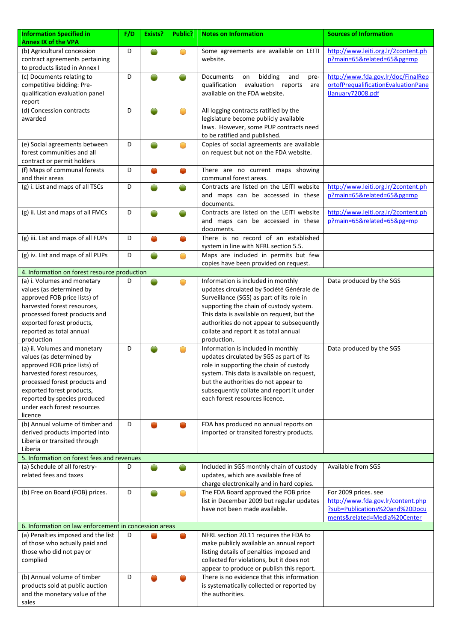| <b>Information Specified in</b><br><b>Annex IX of the VPA</b>                                      | F/D | <b>Exists?</b> | Public?    | <b>Notes on Information</b>                                                                                                                               | <b>Sources of Information</b>                                                                        |  |  |  |
|----------------------------------------------------------------------------------------------------|-----|----------------|------------|-----------------------------------------------------------------------------------------------------------------------------------------------------------|------------------------------------------------------------------------------------------------------|--|--|--|
| (b) Agricultural concession<br>contract agreements pertaining<br>to products listed in Annex I     | D   |                | $\bigcirc$ | Some agreements are available on LEITI<br>website.                                                                                                        | http://www.leiti.org.lr/2content.ph<br>p?main=65&related=65&pg=mp                                    |  |  |  |
| (c) Documents relating to<br>competitive bidding: Pre-<br>qualification evaluation panel<br>report | D   |                |            | bidding<br>and<br>Documents<br>on<br>pre-<br>qualification<br>evaluation reports<br>are<br>available on the FDA website.                                  | http://www.fda.gov.lr/doc/FinalRep<br>ortofPrequalificationEvaluationPane<br><b>January72008.pdf</b> |  |  |  |
| (d) Concession contracts<br>awarded                                                                | D   |                |            | All logging contracts ratified by the<br>legislature become publicly available<br>laws. However, some PUP contracts need<br>to be ratified and published. |                                                                                                      |  |  |  |
| (e) Social agreements between<br>forest communities and all<br>contract or permit holders          | D   |                |            | Copies of social agreements are available<br>on request but not on the FDA website.                                                                       |                                                                                                      |  |  |  |
| (f) Maps of communal forests<br>and their areas                                                    | D   |                |            | There are no current maps showing<br>communal forest areas.                                                                                               |                                                                                                      |  |  |  |
| (g) i. List and maps of all TSCs                                                                   | D   |                |            | Contracts are listed on the LEITI website<br>and maps can be accessed in these<br>documents.                                                              | http://www.leiti.org.lr/2content.ph<br>p?main=65&related=65&pg=mp                                    |  |  |  |
| (g) ii. List and maps of all FMCs                                                                  | D   |                |            | Contracts are listed on the LEITI website<br>and maps can be accessed in these<br>documents.                                                              | http://www.leiti.org.lr/2content.ph<br>p?main=65&related=65&pg=mp                                    |  |  |  |
| (g) iii. List and maps of all FUPs                                                                 | D   |                |            | There is no record of an established<br>system in line with NFRL section 5.5.                                                                             |                                                                                                      |  |  |  |
| (g) iv. List and maps of all PUPs                                                                  | D   |                | ●          | Maps are included in permits but few<br>copies have been provided on request.                                                                             |                                                                                                      |  |  |  |
| 4. Information on forest resource production                                                       |     |                |            |                                                                                                                                                           |                                                                                                      |  |  |  |
| (a) i. Volumes and monetary                                                                        | D   |                |            | Information is included in monthly                                                                                                                        | Data produced by the SGS                                                                             |  |  |  |
| values (as determined by                                                                           |     |                |            | updates circulated by Société Générale de                                                                                                                 |                                                                                                      |  |  |  |
| approved FOB price lists) of                                                                       |     |                |            | Surveillance (SGS) as part of its role in                                                                                                                 |                                                                                                      |  |  |  |
|                                                                                                    |     |                |            |                                                                                                                                                           |                                                                                                      |  |  |  |
| harvested forest resources,                                                                        |     |                |            | supporting the chain of custody system.                                                                                                                   |                                                                                                      |  |  |  |
| processed forest products and                                                                      |     |                |            | This data is available on request, but the                                                                                                                |                                                                                                      |  |  |  |
| exported forest products,                                                                          |     |                |            | authorities do not appear to subsequently                                                                                                                 |                                                                                                      |  |  |  |
| reported as total annual                                                                           |     |                |            | collate and report it as total annual                                                                                                                     |                                                                                                      |  |  |  |
| production                                                                                         |     |                |            | production.                                                                                                                                               |                                                                                                      |  |  |  |
| (a) ii. Volumes and monetary                                                                       | D   |                |            | Information is included in monthly                                                                                                                        | Data produced by the SGS                                                                             |  |  |  |
| values (as determined by                                                                           |     |                |            | updates circulated by SGS as part of its                                                                                                                  |                                                                                                      |  |  |  |
| approved FOB price lists) of                                                                       |     |                |            | role in supporting the chain of custody                                                                                                                   |                                                                                                      |  |  |  |
| harvested forest resources,                                                                        |     |                |            | system. This data is available on request,                                                                                                                |                                                                                                      |  |  |  |
| processed forest products and                                                                      |     |                |            | but the authorities do not appear to                                                                                                                      |                                                                                                      |  |  |  |
| exported forest products,                                                                          |     |                |            | subsequently collate and report it under                                                                                                                  |                                                                                                      |  |  |  |
| reported by species produced                                                                       |     |                |            | each forest resources licence.                                                                                                                            |                                                                                                      |  |  |  |
| under each forest resources                                                                        |     |                |            |                                                                                                                                                           |                                                                                                      |  |  |  |
| licence                                                                                            |     |                |            |                                                                                                                                                           |                                                                                                      |  |  |  |
| (b) Annual volume of timber and                                                                    | D   |                |            | FDA has produced no annual reports on                                                                                                                     |                                                                                                      |  |  |  |
| derived products imported into                                                                     |     |                |            | imported or transited forestry products.                                                                                                                  |                                                                                                      |  |  |  |
| Liberia or transited through                                                                       |     |                |            |                                                                                                                                                           |                                                                                                      |  |  |  |
| Liberia                                                                                            |     |                |            |                                                                                                                                                           |                                                                                                      |  |  |  |
| 5. Information on forest fees and revenues                                                         |     |                |            |                                                                                                                                                           |                                                                                                      |  |  |  |
| (a) Schedule of all forestry-                                                                      | D   |                |            | Included in SGS monthly chain of custody                                                                                                                  | Available from SGS                                                                                   |  |  |  |
| related fees and taxes                                                                             |     |                |            | updates, which are available free of                                                                                                                      |                                                                                                      |  |  |  |
|                                                                                                    |     |                |            | charge electronically and in hard copies.                                                                                                                 |                                                                                                      |  |  |  |
| (b) Free on Board (FOB) prices.                                                                    | D   |                | $\bigcirc$ | The FDA Board approved the FOB price                                                                                                                      | For 2009 prices. see                                                                                 |  |  |  |
|                                                                                                    |     |                |            | list in December 2009 but regular updates                                                                                                                 | http://www.fda.gov.lr/content.php                                                                    |  |  |  |
|                                                                                                    |     |                |            | have not been made available.                                                                                                                             | ?sub=Publications%20and%20Docu                                                                       |  |  |  |
|                                                                                                    |     |                |            |                                                                                                                                                           | ments&related=Media%20Center                                                                         |  |  |  |
| 6. Information on law enforcement in concession areas                                              |     |                |            |                                                                                                                                                           |                                                                                                      |  |  |  |
| (a) Penalties imposed and the list                                                                 | D   |                |            | NFRL section 20.11 requires the FDA to                                                                                                                    |                                                                                                      |  |  |  |
| of those who actually paid and                                                                     |     |                |            | make publicly available an annual report                                                                                                                  |                                                                                                      |  |  |  |
| those who did not pay or                                                                           |     |                |            | listing details of penalties imposed and                                                                                                                  |                                                                                                      |  |  |  |
|                                                                                                    |     |                |            |                                                                                                                                                           |                                                                                                      |  |  |  |
| complied                                                                                           |     |                |            | collected for violations, but it does not                                                                                                                 |                                                                                                      |  |  |  |
|                                                                                                    |     |                |            | appear to produce or publish this report.                                                                                                                 |                                                                                                      |  |  |  |
| (b) Annual volume of timber                                                                        | D   |                |            | There is no evidence that this information                                                                                                                |                                                                                                      |  |  |  |
| products sold at public auction                                                                    |     |                |            | is systematically collected or reported by                                                                                                                |                                                                                                      |  |  |  |
| and the monetary value of the                                                                      |     |                |            | the authorities.                                                                                                                                          |                                                                                                      |  |  |  |
| sales                                                                                              |     |                |            |                                                                                                                                                           |                                                                                                      |  |  |  |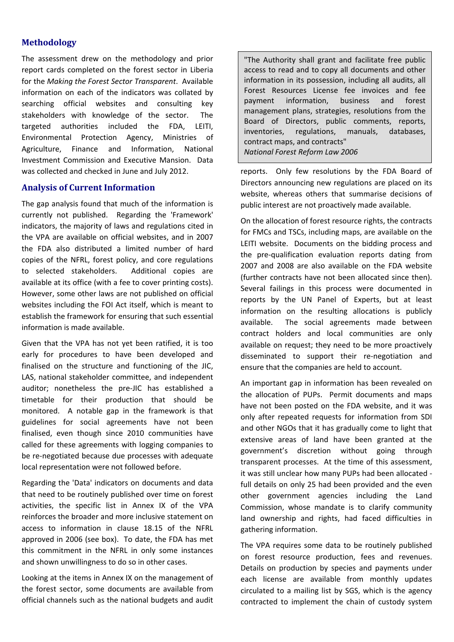### **Methodology**

The assessment drew on the methodology and prior report cards completed on the forest sector in Liberia for the *Making the Forest Sector Transparent*. Available information on each of the indicators was collated by searching official websites and consulting key stakeholders with knowledge of the sector. The targeted authorities included the FDA, LEITI, Environmental Protection Agency, Ministries of Agriculture, Finance and Information, National Investment Commission and Executive Mansion. Data was collected and checked in June and July 2012.

### **Analysis of Current Information**

The gap analysis found that much of the information is currently not published. Regarding the 'Framework' indicators, the majority of laws and regulations cited in the VPA are available on official websites, and in 2007 the FDA also distributed a limited number of hard copies of the NFRL, forest policy, and core regulations to selected stakeholders. Additional copies are available at its office (with a fee to cover printing costs). However, some other laws are not published on official websites including the FOI Act itself, which is meant to establish the framework for ensuring that such essential information is made available.

Given that the VPA has not yet been ratified, it is too early for procedures to have been developed and finalised on the structure and functioning of the JIC, LAS, national stakeholder committee, and independent auditor; nonetheless the pre‐JIC has established a timetable for their production that should be monitored. A notable gap in the framework is that guidelines for social agreements have not been finalised, even though since 2010 communities have called for these agreements with logging companies to be re-negotiated because due processes with adequate local representation were not followed before.

Regarding the 'Data' indicators on documents and data that need to be routinely published over time on forest activities, the specific list in Annex IX of the VPA reinforces the broader and more inclusive statement on access to information in clause 18.15 of the NFRL approved in 2006 (see box). To date, the FDA has met this commitment in the NFRL in only some instances and shown unwillingness to do so in other cases.

Looking at the items in Annex IX on the management of the forest sector, some documents are available from official channels such as the national budgets and audit

"The Authority shall grant and facilitate free public access to read and to copy all documents and other information in its possession, including all audits, all Forest Resources License fee invoices and fee payment information, business and forest management plans, strategies, resolutions from the Board of Directors, public comments, reports, inventories, regulations, manuals, databases, contract maps, and contracts" *National Forest Reform Law 2006*

reports. Only few resolutions by the FDA Board of Directors announcing new regulations are placed on its website, whereas others that summarise decisions of public interest are not proactively made available.

On the allocation of forest resource rights, the contracts for FMCs and TSCs, including maps, are available on the LEITI website. Documents on the bidding process and the pre‐qualification evaluation reports dating from 2007 and 2008 are also available on the FDA website (further contracts have not been allocated since then). Several failings in this process were documented in reports by the UN Panel of Experts, but at least information on the resulting allocations is publicly available. The social agreements made between contract holders and local communities are only available on request; they need to be more proactively disseminated to support their re‐negotiation and ensure that the companies are held to account.

An important gap in information has been revealed on the allocation of PUPs. Permit documents and maps have not been posted on the FDA website, and it was only after repeated requests for information from SDI and other NGOs that it has gradually come to light that extensive areas of land have been granted at the government's discretion without going through transparent processes. At the time of this assessment, it was still unclear how many PUPs had been allocated ‐ full details on only 25 had been provided and the even other government agencies including the Land Commission, whose mandate is to clarify community land ownership and rights, had faced difficulties in gathering information.

The VPA requires some data to be routinely published on forest resource production, fees and revenues. Details on production by species and payments under each license are available from monthly updates circulated to a mailing list by SGS, which is the agency contracted to implement the chain of custody system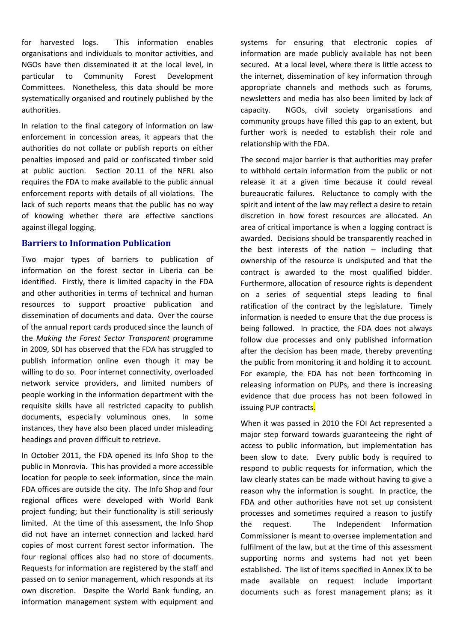for harvested logs. This information enables organisations and individuals to monitor activities, and NGOs have then disseminated it at the local level, in particular to Community Forest Development Committees. Nonetheless, this data should be more systematically organised and routinely published by the authorities.

In relation to the final category of information on law enforcement in concession areas, it appears that the authorities do not collate or publish reports on either penalties imposed and paid or confiscated timber sold at public auction. Section 20.11 of the NFRL also requires the FDA to make available to the public annual enforcement reports with details of all violations. The lack of such reports means that the public has no way of knowing whether there are effective sanctions against illegal logging.

#### **Barriers to Information Publication**

Two major types of barriers to publication of information on the forest sector in Liberia can be identified. Firstly, there is limited capacity in the FDA and other authorities in terms of technical and human resources to support proactive publication and dissemination of documents and data. Over the course of the annual report cards produced since the launch of the *Making the Forest Sector Transparent* programme in 2009, SDI has observed that the FDA has struggled to publish information online even though it may be willing to do so. Poor internet connectivity, overloaded network service providers, and limited numbers of people working in the information department with the requisite skills have all restricted capacity to publish documents, especially voluminous ones. In some instances, they have also been placed under misleading headings and proven difficult to retrieve.

In October 2011, the FDA opened its Info Shop to the public in Monrovia. This has provided a more accessible location for people to seek information, since the main FDA offices are outside the city. The Info Shop and four regional offices were developed with World Bank project funding; but their functionality is still seriously limited. At the time of this assessment, the Info Shop did not have an internet connection and lacked hard copies of most current forest sector information. The four regional offices also had no store of documents. Requests for information are registered by the staff and passed on to senior management, which responds at its own discretion. Despite the World Bank funding, an information management system with equipment and systems for ensuring that electronic copies of information are made publicly available has not been secured. At a local level, where there is little access to the internet, dissemination of key information through appropriate channels and methods such as forums, newsletters and media has also been limited by lack of capacity. NGOs, civil society organisations and community groups have filled this gap to an extent, but further work is needed to establish their role and relationship with the FDA.

The second major barrier is that authorities may prefer to withhold certain information from the public or not release it at a given time because it could reveal bureaucratic failures. Reluctance to comply with the spirit and intent of the law may reflect a desire to retain discretion in how forest resources are allocated. An area of critical importance is when a logging contract is awarded. Decisions should be transparently reached in the best interests of the nation – including that ownership of the resource is undisputed and that the contract is awarded to the most qualified bidder. Furthermore, allocation of resource rights is dependent on a series of sequential steps leading to final ratification of the contract by the legislature. Timely information is needed to ensure that the due process is being followed. In practice, the FDA does not always follow due processes and only published information after the decision has been made, thereby preventing the public from monitoring it and holding it to account. For example, the FDA has not been forthcoming in releasing information on PUPs, and there is increasing evidence that due process has not been followed in issuing PUP contracts.

When it was passed in 2010 the FOI Act represented a major step forward towards guaranteeing the right of access to public information, but implementation has been slow to date. Every public body is required to respond to public requests for information, which the law clearly states can be made without having to give a reason why the information is sought. In practice, the FDA and other authorities have not set up consistent processes and sometimes required a reason to justify the request. The Independent Information Commissioner is meant to oversee implementation and fulfilment of the law, but at the time of this assessment supporting norms and systems had not yet been established. The list of items specified in Annex IX to be made available on request include important documents such as forest management plans; as it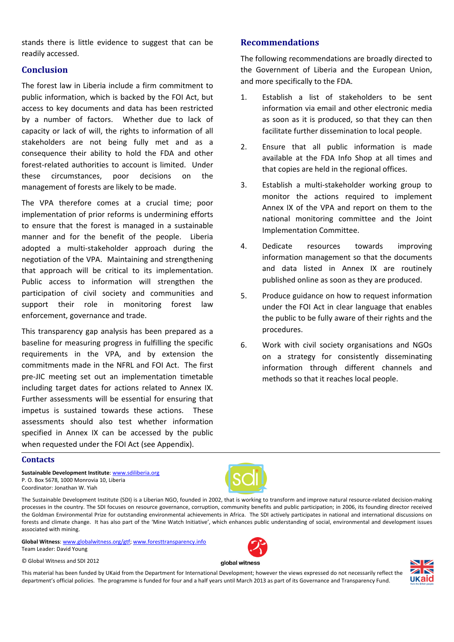stands there is little evidence to suggest that can be readily accessed.

### **Conclusion**

The forest law in Liberia include a firm commitment to public information, which is backed by the FOI Act, but access to key documents and data has been restricted by a number of factors. Whether due to lack of capacity or lack of will, the rights to information of all stakeholders are not being fully met and as a consequence their ability to hold the FDA and other forest-related authorities to account is limited. Under these circumstances, poor decisions on the management of forests are likely to be made.

The VPA therefore comes at a crucial time; poor implementation of prior reforms is undermining efforts to ensure that the forest is managed in a sustainable manner and for the benefit of the people. Liberia adopted a multi‐stakeholder approach during the negotiation of the VPA. Maintaining and strengthening that approach will be critical to its implementation. Public access to information will strengthen the participation of civil society and communities and support their role in monitoring forest law enforcement, governance and trade.

This transparency gap analysis has been prepared as a baseline for measuring progress in fulfilling the specific requirements in the VPA, and by extension the commitments made in the NFRL and FOI Act. The first pre‐JIC meeting set out an implementation timetable including target dates for actions related to Annex IX. Further assessments will be essential for ensuring that impetus is sustained towards these actions. These assessments should also test whether information specified in Annex IX can be accessed by the public when requested under the FOI Act (see Appendix).

## **Recommendations**

The following recommendations are broadly directed to the Government of Liberia and the European Union, and more specifically to the FDA.

- 1. Establish a list of stakeholders to be sent information via email and other electronic media as soon as it is produced, so that they can then facilitate further dissemination to local people.
- 2. Ensure that all public information is made available at the FDA Info Shop at all times and that copies are held in the regional offices.
- 3. Establish a multi‐stakeholder working group to monitor the actions required to implement Annex IX of the VPA and report on them to the national monitoring committee and the Joint Implementation Committee.
- 4. Dedicate resources towards improving information management so that the documents and data listed in Annex IX are routinely published online as soon as they are produced.
- 5. Produce guidance on how to request information under the FOI Act in clear language that enables the public to be fully aware of their rights and the procedures.
- 6. Work with civil society organisations and NGOs on a strategy for consistently disseminating information through different channels and methods so that it reaches local people.

### **Contacts**

**Sustainable Development Institute**: www.sdiliberia.org P. O. Box 5678, 1000 Monrovia 10, Liberia Coordinator: Jonathan W. Yiah

The Sustainable Development Institute (SDI) is a Liberian NGO, founded in 2002, that is working to transform and improve natural resource-related decision-making processes in the country. The SDI focuses on resource governance, corruption, community benefits and public participation; in 2006, its founding director received the Goldman Environmental Prize for outstanding environmental achievements in Africa. The SDI actively participates in national and international discussions on forests and climate change. It has also part of the 'Mine Watch Initiative', which enhances public understanding of social, environmental and development issues associated with mining.

**Global Witness**: www.globalwitness.org/gtf; www.foresttransparency.info Team Leader: David Young

© Global Witness and SDI 2012



global witness

This material has been funded by UKaid from the Department for International Development; however the views expressed do not necessarily reflect the department's official policies. The programme is funded for four and a half years until March 2013 as part of its Governance and Transparency Fund.